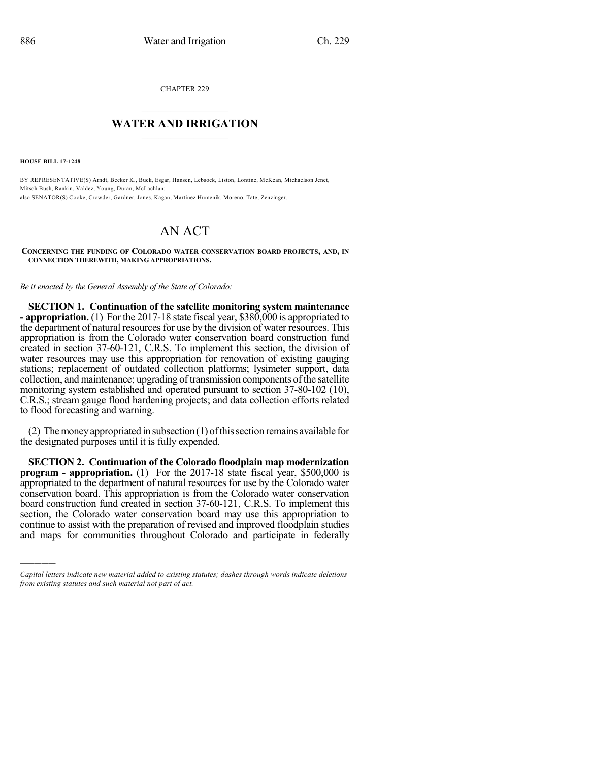CHAPTER 229

## $\overline{\phantom{a}}$  . The set of the set of the set of the set of the set of the set of the set of the set of the set of the set of the set of the set of the set of the set of the set of the set of the set of the set of the set o **WATER AND IRRIGATION**  $\_$   $\_$

**HOUSE BILL 17-1248**

)))))

BY REPRESENTATIVE(S) Arndt, Becker K., Buck, Esgar, Hansen, Lebsock, Liston, Lontine, McKean, Michaelson Jenet, Mitsch Bush, Rankin, Valdez, Young, Duran, McLachlan; also SENATOR(S) Cooke, Crowder, Gardner, Jones, Kagan, Martinez Humenik, Moreno, Tate, Zenzinger.

## AN ACT

**CONCERNING THE FUNDING OF COLORADO WATER CONSERVATION BOARD PROJECTS, AND, IN CONNECTION THEREWITH, MAKING APPROPRIATIONS.**

*Be it enacted by the General Assembly of the State of Colorado:*

**SECTION 1. Continuation of the satellite monitoring system maintenance - appropriation.** (1) For the 2017-18 state fiscal year, \$380,000 is appropriated to the department of natural resources for use by the division of water resources. This appropriation is from the Colorado water conservation board construction fund created in section 37-60-121, C.R.S. To implement this section, the division of water resources may use this appropriation for renovation of existing gauging stations; replacement of outdated collection platforms; lysimeter support, data collection, and maintenance; upgrading of transmission components of the satellite monitoring system established and operated pursuant to section 37-80-102 (10), C.R.S.; stream gauge flood hardening projects; and data collection efforts related to flood forecasting and warning.

(2) The money appropriated in subsection (1) of this section remains available for the designated purposes until it is fully expended.

**SECTION 2. Continuation of the Colorado floodplain map modernization program - appropriation.** (1) For the 2017-18 state fiscal year, \$500,000 is appropriated to the department of natural resources for use by the Colorado water conservation board. This appropriation is from the Colorado water conservation board construction fund created in section 37-60-121, C.R.S. To implement this section, the Colorado water conservation board may use this appropriation to continue to assist with the preparation of revised and improved floodplain studies and maps for communities throughout Colorado and participate in federally

*Capital letters indicate new material added to existing statutes; dashes through words indicate deletions from existing statutes and such material not part of act.*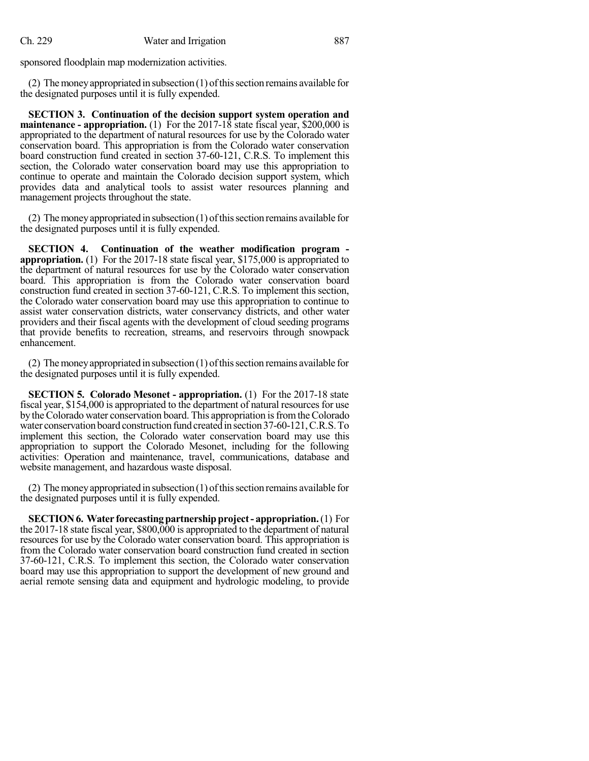sponsored floodplain map modernization activities.

(2) The money appropriated in subsection (1) of this section remains available for the designated purposes until it is fully expended.

**SECTION 3. Continuation of the decision support system operation and maintenance - appropriation.** (1) For the 2017-18 state fiscal year, \$200,000 is appropriated to the department of natural resources for use by the Colorado water conservation board. This appropriation is from the Colorado water conservation board construction fund created in section 37-60-121, C.R.S. To implement this section, the Colorado water conservation board may use this appropriation to continue to operate and maintain the Colorado decision support system, which provides data and analytical tools to assist water resources planning and management projects throughout the state.

(2) The money appropriated in subsection  $(1)$  of this section remains available for the designated purposes until it is fully expended.

**SECTION 4. Continuation of the weather modification program appropriation.** (1) For the 2017-18 state fiscal year, \$175,000 is appropriated to the department of natural resources for use by the Colorado water conservation board. This appropriation is from the Colorado water conservation board construction fund created in section 37-60-121, C.R.S. To implement this section, the Colorado water conservation board may use this appropriation to continue to assist water conservation districts, water conservancy districts, and other water providers and their fiscal agents with the development of cloud seeding programs that provide benefits to recreation, streams, and reservoirs through snowpack enhancement.

(2) The money appropriated in subsection  $(1)$  of this section remains available for the designated purposes until it is fully expended.

**SECTION 5. Colorado Mesonet - appropriation.** (1) For the 2017-18 state fiscal year, \$154,000 is appropriated to the department of natural resourcesfor use by theColorado water conservation board. This appropriation isfromtheColorado water conservation board construction fund createdinsection37-60-121,C.R.S.To implement this section, the Colorado water conservation board may use this appropriation to support the Colorado Mesonet, including for the following activities: Operation and maintenance, travel, communications, database and website management, and hazardous waste disposal.

(2) The money appropriated in subsection  $(1)$  of this section remains available for the designated purposes until it is fully expended.

**SECTION6. Water forecastingpartnershipproject- appropriation.**(1) For the 2017-18 state fiscal year, \$800,000 is appropriated to the department of natural resources for use by the Colorado water conservation board. This appropriation is from the Colorado water conservation board construction fund created in section 37-60-121, C.R.S. To implement this section, the Colorado water conservation board may use this appropriation to support the development of new ground and aerial remote sensing data and equipment and hydrologic modeling, to provide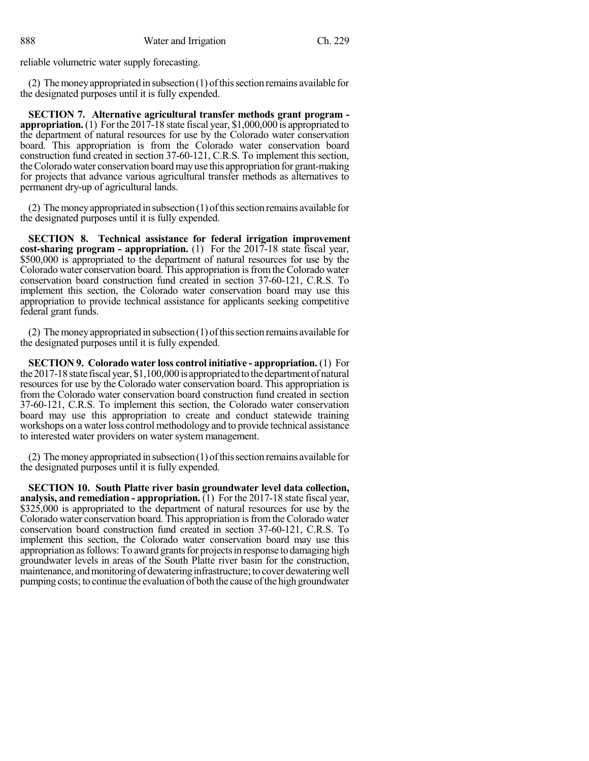reliable volumetric water supply forecasting.

(2) The money appropriated in subsection (1) of this section remains available for the designated purposes until it is fully expended.

**SECTION 7. Alternative agricultural transfer methods grant program appropriation.** (1) Forthe 2017-18 state fiscal year, \$1,000,000 is appropriated to the department of natural resources for use by the Colorado water conservation board. This appropriation is from the Colorado water conservation board construction fund created in section 37-60-121, C.R.S. To implement this section, theColorado water conservation boardmayuse this appropriation for grant-making for projects that advance various agricultural transfer methods as alternatives to permanent dry-up of agricultural lands.

(2) The money appropriated in subsection  $(1)$  of this section remains available for the designated purposes until it is fully expended.

**SECTION 8. Technical assistance for federal irrigation improvement cost-sharing program - appropriation.** (1) For the 2017-18 state fiscal year, \$500,000 is appropriated to the department of natural resources for use by the Colorado water conservation board. This appropriation is from the Colorado water conservation board construction fund created in section 37-60-121, C.R.S. To implement this section, the Colorado water conservation board may use this appropriation to provide technical assistance for applicants seeking competitive federal grant funds.

(2) The money appropriated in subsection  $(1)$  of this section remains available for the designated purposes until it is fully expended.

**SECTION 9. Colorado water loss control initiative - appropriation.** (1) For the 2017-18 state fiscal year, \$1,100,000 is appropriated to the department of natural resources for use by the Colorado water conservation board. This appropriation is from the Colorado water conservation board construction fund created in section 37-60-121, C.R.S. To implement this section, the Colorado water conservation board may use this appropriation to create and conduct statewide training workshops on a water loss control methodology and to provide technical assistance to interested water providers on water system management.

(2) The money appropriated in subsection  $(1)$  of this section remains available for the designated purposes until it is fully expended.

**SECTION 10. South Platte river basin groundwater level data collection, analysis, and remediation - appropriation.** (1) For the 2017-18 state fiscal year, \$325,000 is appropriated to the department of natural resources for use by the Colorado water conservation board. This appropriation isfromthe Colorado water conservation board construction fund created in section 37-60-121, C.R.S. To implement this section, the Colorado water conservation board may use this appropriation as follows: To award grants for projects in response to damaging high groundwater levels in areas of the South Platte river basin for the construction, maintenance, and monitoring of dewatering infrastructure; to cover dewatering well pumping costs; to continue the evaluation of both the cause of the high groundwater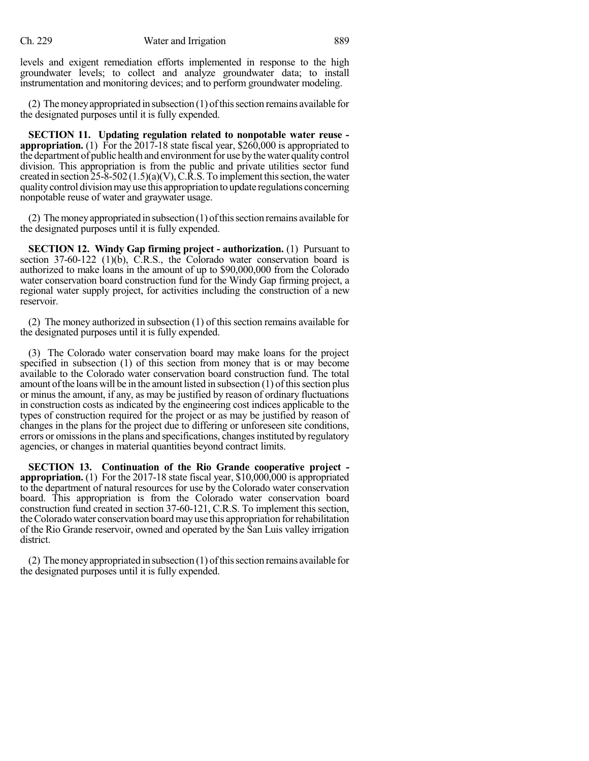levels and exigent remediation efforts implemented in response to the high groundwater levels; to collect and analyze groundwater data; to install instrumentation and monitoring devices; and to perform groundwater modeling.

(2) The money appropriated in subsection  $(1)$  of this section remains available for the designated purposes until it is fully expended.

**SECTION 11. Updating regulation related to nonpotable water reuse appropriation.** (1) For the 2017-18 state fiscal year, \$260,000 is appropriated to the department of public health and environment for use by the water quality control division. This appropriation is from the public and private utilities sector fund created in section  $25-8-502(1.5)(a)(V)$ , C.R.S. To implement this section, the water qualitycontrol divisionmayuse this appropriation to update regulations concerning nonpotable reuse of water and graywater usage.

(2) The money appropriated in subsection  $(1)$  of this section remains available for the designated purposes until it is fully expended.

**SECTION 12. Windy Gap firming project - authorization.** (1) Pursuant to section 37-60-122 (1)(b), C.R.S., the Colorado water conservation board is authorized to make loans in the amount of up to \$90,000,000 from the Colorado water conservation board construction fund for the Windy Gap firming project, a regional water supply project, for activities including the construction of a new reservoir.

(2) The money authorized in subsection (1) of this section remains available for the designated purposes until it is fully expended.

(3) The Colorado water conservation board may make loans for the project specified in subsection (1) of this section from money that is or may become available to the Colorado water conservation board construction fund. The total amount of the loans will be in the amount listed in subsection  $(1)$  of this section plus or minus the amount, if any, as may be justified by reason of ordinary fluctuations in construction costs as indicated by the engineering cost indices applicable to the types of construction required for the project or as may be justified by reason of changes in the plans for the project due to differing or unforeseen site conditions, errors or omissions in the plans and specifications, changes instituted by regulatory agencies, or changes in material quantities beyond contract limits.

**SECTION 13. Continuation of the Rio Grande cooperative project appropriation.** (1) For the 2017-18 state fiscal year, \$10,000,000 is appropriated to the department of natural resources for use by the Colorado water conservation board. This appropriation is from the Colorado water conservation board construction fund created in section 37-60-121, C.R.S. To implement this section, theColorado water conservation boardmayuse this appropriation forrehabilitation of the Rio Grande reservoir, owned and operated by the San Luis valley irrigation district.

(2) The money appropriated in subsection (1) of this section remains available for the designated purposes until it is fully expended.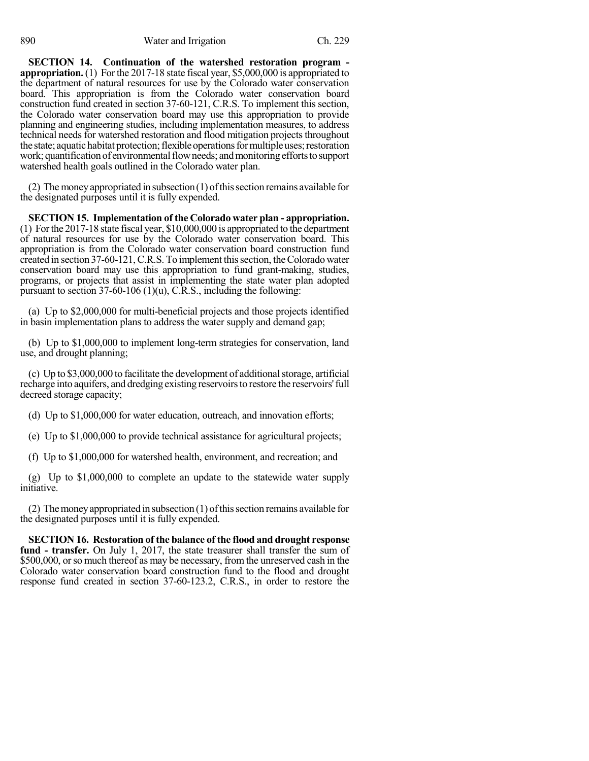**SECTION 14. Continuation of the watershed restoration program appropriation.** (1) Forthe 2017-18 state fiscal year, \$5,000,000 is appropriated to the department of natural resources for use by the Colorado water conservation board. This appropriation is from the Colorado water conservation board construction fund created in section 37-60-121, C.R.S. To implement this section, the Colorado water conservation board may use this appropriation to provide planning and engineering studies, including implementation measures, to address technical needs for watershed restoration and flood mitigation projects throughout the state; aquatic habitat protection; flexible operations for multiple uses; restoration work; quantification of environmental flow needs; and monitoring efforts to support watershed health goals outlined in the Colorado water plan.

(2) The money appropriated in subsection (1) of this section remains available for the designated purposes until it is fully expended.

**SECTION 15. Implementation of the Colorado water plan - appropriation.** (1) Forthe 2017-18 state fiscal year, \$10,000,000 is appropriated to the department of natural resources for use by the Colorado water conservation board. This appropriation is from the Colorado water conservation board construction fund created in section 37-60-121, C.R.S. To implement this section, the Colorado water conservation board may use this appropriation to fund grant-making, studies, programs, or projects that assist in implementing the state water plan adopted pursuant to section  $37-60-106$  (1)(u), C.R.S., including the following:

(a) Up to \$2,000,000 for multi-beneficial projects and those projects identified in basin implementation plans to address the water supply and demand gap;

(b) Up to \$1,000,000 to implement long-term strategies for conservation, land use, and drought planning;

 $(c)$  Up to \$3,000,000 to facilitate the development of additional storage, artificial recharge into aquifers, and dredging existing reservoirs to restore the reservoirs' full decreed storage capacity;

(d) Up to \$1,000,000 for water education, outreach, and innovation efforts;

(e) Up to \$1,000,000 to provide technical assistance for agricultural projects;

(f) Up to \$1,000,000 for watershed health, environment, and recreation; and

(g) Up to \$1,000,000 to complete an update to the statewide water supply initiative.

(2) The money appropriated in subsection  $(1)$  of this section remains available for the designated purposes until it is fully expended.

**SECTION 16. Restoration of the balance of the flood and drought response fund - transfer.** On July 1, 2017, the state treasurer shall transfer the sum of \$500,000, or so much thereof as may be necessary, from the unreserved cash in the Colorado water conservation board construction fund to the flood and drought response fund created in section 37-60-123.2, C.R.S., in order to restore the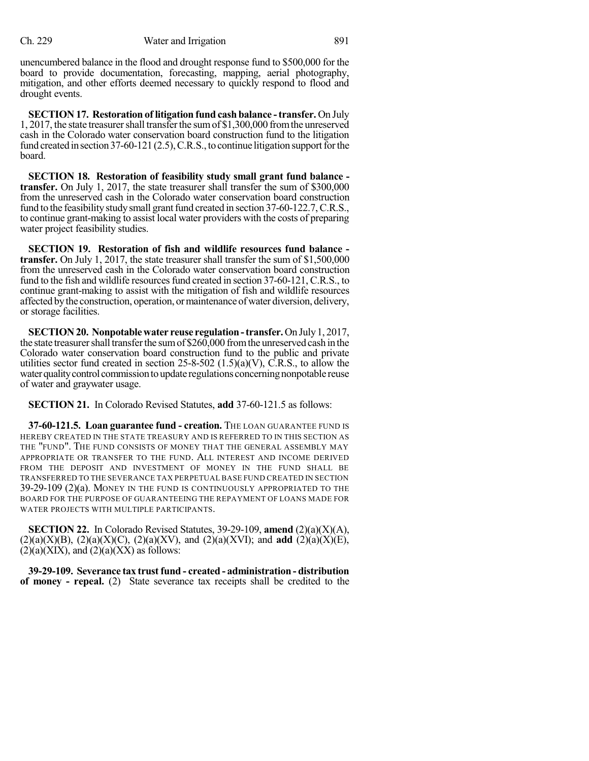unencumbered balance in the flood and drought response fund to \$500,000 for the board to provide documentation, forecasting, mapping, aerial photography, mitigation, and other efforts deemed necessary to quickly respond to flood and drought events.

**SECTION 17. Restoration of litigation fund cashbalance -transfer.** On July 1, 2017, the state treasurershall transferthe sumof \$1,300,000 fromthe unreserved cash in the Colorado water conservation board construction fund to the litigation fund created in section 37-60-121  $(2.5)$ , C.R.S., to continue litigation support for the board.

**SECTION 18. Restoration of feasibility study small grant fund balance transfer.** On July 1, 2017, the state treasurer shall transfer the sum of \$300,000 from the unreserved cash in the Colorado water conservation board construction fund to the feasibility study small grant fund created in section  $37-60-122.7$ , C.R.S., to continue grant-making to assist local water providers with the costs of preparing water project feasibility studies.

**SECTION 19. Restoration of fish and wildlife resources fund balance transfer.** On July 1, 2017, the state treasurer shall transfer the sum of \$1,500,000 from the unreserved cash in the Colorado water conservation board construction fund to the fish and wildlife resources fund created in section 37-60-121, C.R.S., to continue grant-making to assist with the mitigation of fish and wildlife resources affected by the construction, operation, or maintenance of water diversion, delivery, or storage facilities.

**SECTION20. Nonpotablewater reuse regulation-transfer.**On July1, 2017, the state treasurer shall transfer the sum of \$260,000 from the unreserved cash in the Colorado water conservation board construction fund to the public and private utilities sector fund created in section 25-8-502  $(1.5)(a)(V)$ , C.R.S., to allow the water quality control commission to update regulations concerning nonpotable reuse of water and graywater usage.

**SECTION 21.** In Colorado Revised Statutes, **add** 37-60-121.5 as follows:

**37-60-121.5. Loan guarantee fund - creation.** THE LOAN GUARANTEE FUND IS HEREBY CREATED IN THE STATE TREASURY AND IS REFERRED TO IN THIS SECTION AS THE "FUND". THE FUND CONSISTS OF MONEY THAT THE GENERAL ASSEMBLY MAY APPROPRIATE OR TRANSFER TO THE FUND. ALL INTEREST AND INCOME DERIVED FROM THE DEPOSIT AND INVESTMENT OF MONEY IN THE FUND SHALL BE TRANSFERRED TO THE SEVERANCE TAX PERPETUAL BASE FUND CREATED IN SECTION 39-29-109 (2)(a). MONEY IN THE FUND IS CONTINUOUSLY APPROPRIATED TO THE BOARD FOR THE PURPOSE OF GUARANTEEING THE REPAYMENT OF LOANS MADE FOR WATER PROJECTS WITH MULTIPLE PARTICIPANTS.

**SECTION 22.** In Colorado Revised Statutes,  $39-29-109$ , **amend**  $(2)(a)(X)(A)$ ,  $(2)(a)(X)(B)$ ,  $(2)(a)(X)(C)$ ,  $(2)(a)(XV)$ , and  $(2)(a)(XVI)$ ; and **add**  $(2)(a)(X)(E)$ ,  $(2)(a)(XIX)$ , and  $(2)(a)(XX)$  as follows:

**39-29-109. Severance tax trust fund - created - administration - distribution of money - repeal.** (2) State severance tax receipts shall be credited to the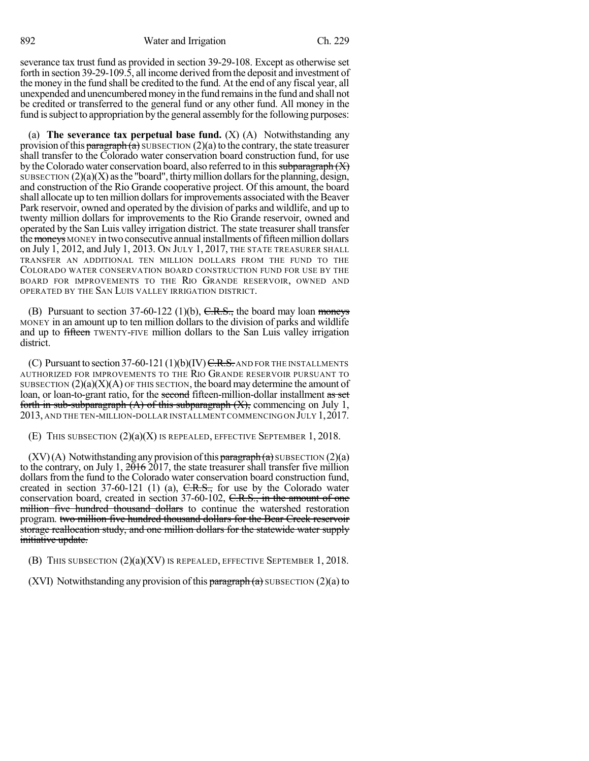severance tax trust fund as provided in section 39-29-108. Except as otherwise set forth in section 39-29-109.5, all income derived fromthe deposit and investment of the money in the fund shall be credited to the fund. At the end of any fiscal year, all unexpended and unencumberedmoneyin the fund remainsin the fund and shall not be credited or transferred to the general fund or any other fund. All money in the fund is subject to appropriation by the general assembly for the following purposes:

(a) **The severance tax perpetual base fund.** (X) (A) Notwithstanding any provision of this paragraph  $(a)$  SUBSECTION  $(2)(a)$  to the contrary, the state treasurer shall transfer to the Colorado water conservation board construction fund, for use by the Colorado water conservation board, also referred to in this subparagraph  $(X)$ SUBSECTION  $(2)(a)(X)$  as the "board", thirty million dollars for the planning, design, and construction of the Rio Grande cooperative project. Of this amount, the board shall allocate up to ten million dollars for improvements associated with the Beaver Park reservoir, owned and operated by the division of parks and wildlife, and up to twenty million dollars for improvements to the Rio Grande reservoir, owned and operated by the San Luis valley irrigation district. The state treasurer shall transfer the moneys MONEY in two consecutive annual installments of fifteen million dollars on July 1, 2012, and July 1, 2013. ON JULY 1, 2017, THE STATE TREASURER SHALL TRANSFER AN ADDITIONAL TEN MILLION DOLLARS FROM THE FUND TO THE COLORADO WATER CONSERVATION BOARD CONSTRUCTION FUND FOR USE BY THE BOARD FOR IMPROVEMENTS TO THE RIO GRANDE RESERVOIR, OWNED AND OPERATED BY THE SAN LUIS VALLEY IRRIGATION DISTRICT.

(B) Pursuant to section 37-60-122 (1)(b),  $C.R.S.,$  the board may loan moneys MONEY in an amount up to ten million dollars to the division of parks and wildlife and up to fifteen TWENTY-FIVE million dollars to the San Luis valley irrigation district.

(C) Pursuant to section 37-60-121  $(1)(b)(IV)$  C.R.S. AND FOR THE INSTALLMENTS AUTHORIZED FOR IMPROVEMENTS TO THE RIO GRANDE RESERVOIR PURSUANT TO SUBSECTION  $(2)(a)(X)(A)$  OF THIS SECTION, the board may determine the amount of loan, or loan-to-grant ratio, for the second fifteen-million-dollar installment as set forth in sub-subparagraph  $(A)$  of this subparagraph  $(X)$ , commencing on July 1, 2013, AND THE TEN-MILLION-DOLLAR INSTALLMENT COMMENCINGON JULY 1,2017.

(E) THIS SUBSECTION (2)(a)(X) IS REPEALED, EFFECTIVE SEPTEMBER 1, 2018.

 $(XV)(A)$  Notwithstanding any provision of this paragraph  $(a)$  SUBSECTION  $(2)(a)$ to the contrary, on July 1,  $2016$  2017, the state treasurer shall transfer five million dollars from the fund to the Colorado water conservation board construction fund, created in section 37-60-121 (1) (a),  $C.R.S.,$  for use by the Colorado water conservation board, created in section 37-60-102, C.R.S., in the amount of one million five hundred thousand dollars to continue the watershed restoration program. two million five hundred thousand dollars for the Bear Creek reservoir storage reallocation study, and one million dollars for the statewide water supply initiative update.

(B) THIS SUBSECTION  $(2)(a)(XV)$  is repealed, effective September 1, 2018.

(XVI) Notwithstanding any provision of this  $\frac{\partial^2 f}{\partial x^2}$  subsection (2)(a) to